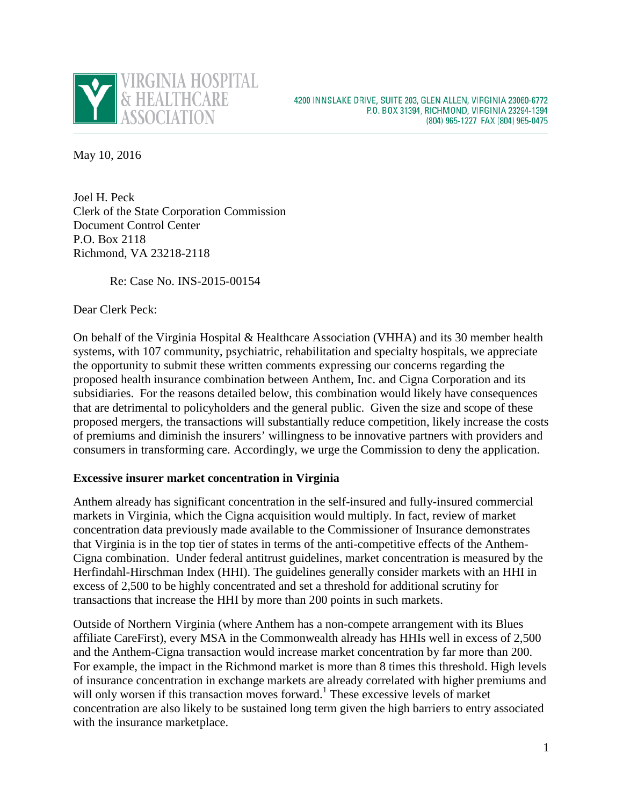

May 10, 2016

Joel H. Peck Clerk of the State Corporation Commission Document Control Center P.O. Box 2118 Richmond, VA 23218-2118

Re: Case No. INS-2015-00154

Dear Clerk Peck:

On behalf of the Virginia Hospital & Healthcare Association (VHHA) and its 30 member health systems, with 107 community, psychiatric, rehabilitation and specialty hospitals, we appreciate the opportunity to submit these written comments expressing our concerns regarding the proposed health insurance combination between Anthem, Inc. and Cigna Corporation and its subsidiaries. For the reasons detailed below, this combination would likely have consequences that are detrimental to policyholders and the general public. Given the size and scope of these proposed mergers, the transactions will substantially reduce competition, likely increase the costs of premiums and diminish the insurers' willingness to be innovative partners with providers and consumers in transforming care. Accordingly, we urge the Commission to deny the application.

## **Excessive insurer market concentration in Virginia**

Anthem already has significant concentration in the self-insured and fully-insured commercial markets in Virginia, which the Cigna acquisition would multiply. In fact, review of market concentration data previously made available to the Commissioner of Insurance demonstrates that Virginia is in the top tier of states in terms of the anti-competitive effects of the Anthem-Cigna combination. Under federal antitrust guidelines, market concentration is measured by the Herfindahl-Hirschman Index (HHI). The guidelines generally consider markets with an HHI in excess of 2,500 to be highly concentrated and set a threshold for additional scrutiny for transactions that increase the HHI by more than 200 points in such markets.

Outside of Northern Virginia (where Anthem has a non-compete arrangement with its Blues affiliate CareFirst), every MSA in the Commonwealth already has HHIs well in excess of 2,500 and the Anthem-Cigna transaction would increase market concentration by far more than 200. For example, the impact in the Richmond market is more than 8 times this threshold. High levels of insurance concentration in exchange markets are already correlated with higher premiums and will only worsen if this transaction moves forward.<sup>1</sup> These excessive levels of market concentration are also likely to be sustained long term given the high barriers to entry associated with the insurance marketplace.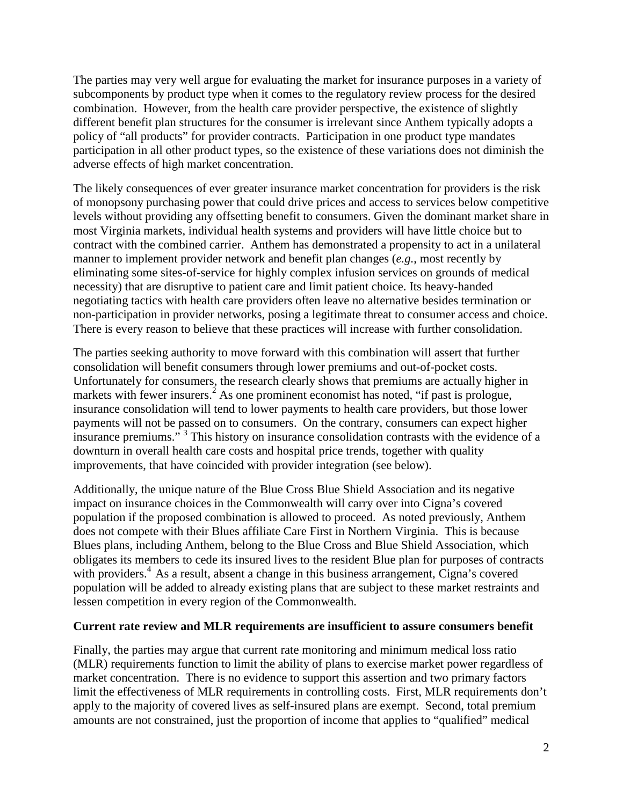The parties may very well argue for evaluating the market for insurance purposes in a variety of subcomponents by product type when it comes to the regulatory review process for the desired combination. However, from the health care provider perspective, the existence of slightly different benefit plan structures for the consumer is irrelevant since Anthem typically adopts a policy of "all products" for provider contracts. Participation in one product type mandates participation in all other product types, so the existence of these variations does not diminish the adverse effects of high market concentration.

The likely consequences of ever greater insurance market concentration for providers is the risk of monopsony purchasing power that could drive prices and access to services below competitive levels without providing any offsetting benefit to consumers. Given the dominant market share in most Virginia markets, individual health systems and providers will have little choice but to contract with the combined carrier. Anthem has demonstrated a propensity to act in a unilateral manner to implement provider network and benefit plan changes (*e.g.*, most recently by eliminating some sites-of-service for highly complex infusion services on grounds of medical necessity) that are disruptive to patient care and limit patient choice. Its heavy-handed negotiating tactics with health care providers often leave no alternative besides termination or non-participation in provider networks, posing a legitimate threat to consumer access and choice. There is every reason to believe that these practices will increase with further consolidation.

The parties seeking authority to move forward with this combination will assert that further consolidation will benefit consumers through lower premiums and out-of-pocket costs. Unfortunately for consumers, the research clearly shows that premiums are actually higher in markets with fewer insurers.<sup>2</sup> As one prominent economist has noted, "if past is prologue, insurance consolidation will tend to lower payments to health care providers, but those lower payments will not be passed on to consumers. On the contrary, consumers can expect higher insurance premiums."<sup>3</sup> This history on insurance consolidation contrasts with the evidence of a downturn in overall health care costs and hospital price trends, together with quality improvements, that have coincided with provider integration (see below).

Additionally, the unique nature of the Blue Cross Blue Shield Association and its negative impact on insurance choices in the Commonwealth will carry over into Cigna's covered population if the proposed combination is allowed to proceed. As noted previously, Anthem does not compete with their Blues affiliate Care First in Northern Virginia. This is because Blues plans, including Anthem, belong to the Blue Cross and Blue Shield Association, which obligates its members to cede its insured lives to the resident Blue plan for purposes of contracts with providers.<sup>4</sup> As a result, absent a change in this business arrangement, Cigna's covered population will be added to already existing plans that are subject to these market restraints and lessen competition in every region of the Commonwealth.

## **Current rate review and MLR requirements are insufficient to assure consumers benefit**

Finally, the parties may argue that current rate monitoring and minimum medical loss ratio (MLR) requirements function to limit the ability of plans to exercise market power regardless of market concentration. There is no evidence to support this assertion and two primary factors limit the effectiveness of MLR requirements in controlling costs. First, MLR requirements don't apply to the majority of covered lives as self-insured plans are exempt. Second, total premium amounts are not constrained, just the proportion of income that applies to "qualified" medical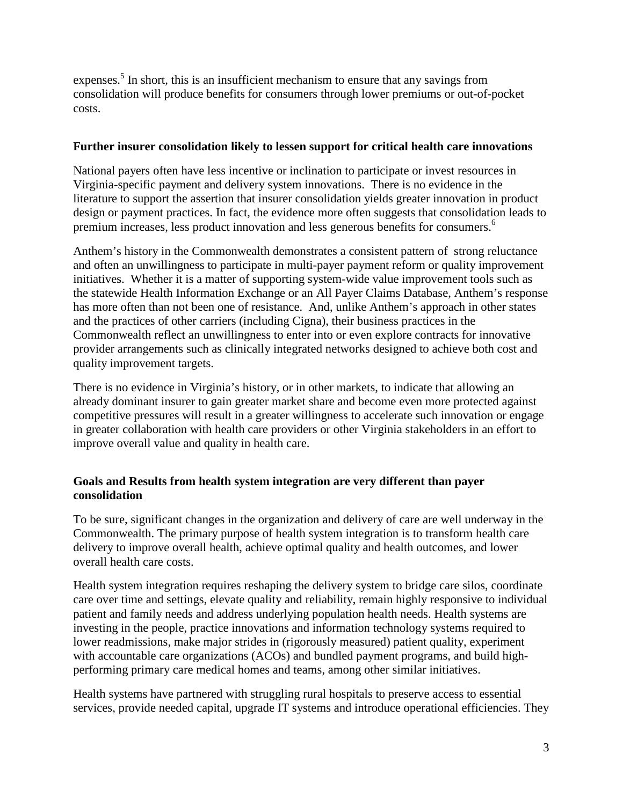expenses.<sup>5</sup> In short, this is an insufficient mechanism to ensure that any savings from consolidation will produce benefits for consumers through lower premiums or out-of-pocket costs.

## **Further insurer consolidation likely to lessen support for critical health care innovations**

National payers often have less incentive or inclination to participate or invest resources in Virginia-specific payment and delivery system innovations. There is no evidence in the literature to support the assertion that insurer consolidation yields greater innovation in product design or payment practices. In fact, the evidence more often suggests that consolidation leads to premium increases, less product innovation and less generous benefits for consumers.<sup>6</sup>

Anthem's history in the Commonwealth demonstrates a consistent pattern of strong reluctance and often an unwillingness to participate in multi-payer payment reform or quality improvement initiatives. Whether it is a matter of supporting system-wide value improvement tools such as the statewide Health Information Exchange or an All Payer Claims Database, Anthem's response has more often than not been one of resistance. And, unlike Anthem's approach in other states and the practices of other carriers (including Cigna), their business practices in the Commonwealth reflect an unwillingness to enter into or even explore contracts for innovative provider arrangements such as clinically integrated networks designed to achieve both cost and quality improvement targets.

There is no evidence in Virginia's history, or in other markets, to indicate that allowing an already dominant insurer to gain greater market share and become even more protected against competitive pressures will result in a greater willingness to accelerate such innovation or engage in greater collaboration with health care providers or other Virginia stakeholders in an effort to improve overall value and quality in health care.

# **Goals and Results from health system integration are very different than payer consolidation**

To be sure, significant changes in the organization and delivery of care are well underway in the Commonwealth. The primary purpose of health system integration is to transform health care delivery to improve overall health, achieve optimal quality and health outcomes, and lower overall health care costs.

Health system integration requires reshaping the delivery system to bridge care silos, coordinate care over time and settings, elevate quality and reliability, remain highly responsive to individual patient and family needs and address underlying population health needs. Health systems are investing in the people, practice innovations and information technology systems required to lower readmissions, make major strides in (rigorously measured) patient quality, experiment with accountable care organizations (ACOs) and bundled payment programs, and build highperforming primary care medical homes and teams, among other similar initiatives.

Health systems have partnered with struggling rural hospitals to preserve access to essential services, provide needed capital, upgrade IT systems and introduce operational efficiencies. They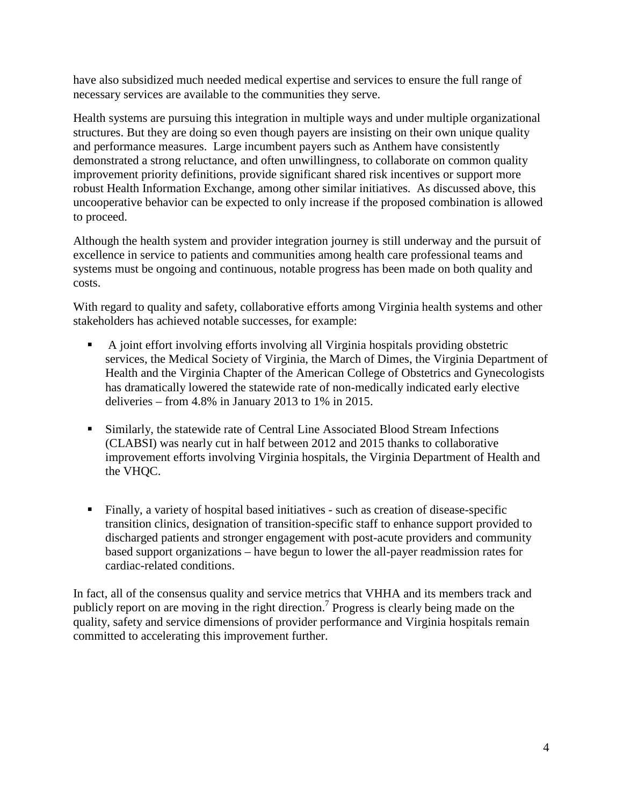have also subsidized much needed medical expertise and services to ensure the full range of necessary services are available to the communities they serve.

Health systems are pursuing this integration in multiple ways and under multiple organizational structures. But they are doing so even though payers are insisting on their own unique quality and performance measures. Large incumbent payers such as Anthem have consistently demonstrated a strong reluctance, and often unwillingness, to collaborate on common quality improvement priority definitions, provide significant shared risk incentives or support more robust Health Information Exchange, among other similar initiatives. As discussed above, this uncooperative behavior can be expected to only increase if the proposed combination is allowed to proceed.

Although the health system and provider integration journey is still underway and the pursuit of excellence in service to patients and communities among health care professional teams and systems must be ongoing and continuous, notable progress has been made on both quality and costs.

With regard to quality and safety, collaborative efforts among Virginia health systems and other stakeholders has achieved notable successes, for example:

- A joint effort involving efforts involving all Virginia hospitals providing obstetric services, the Medical Society of Virginia, the March of Dimes, the Virginia Department of Health and the Virginia Chapter of the American College of Obstetrics and Gynecologists has dramatically lowered the statewide rate of non-medically indicated early elective deliveries – from 4.8% in January 2013 to 1% in 2015.
- Similarly, the statewide rate of Central Line Associated Blood Stream Infections (CLABSI) was nearly cut in half between 2012 and 2015 thanks to collaborative improvement efforts involving Virginia hospitals, the Virginia Department of Health and the VHQC.
- Finally, a variety of hospital based initiatives such as creation of disease-specific transition clinics, designation of transition-specific staff to enhance support provided to discharged patients and stronger engagement with post-acute providers and community based support organizations – have begun to lower the all-payer readmission rates for cardiac-related conditions.

In fact, all of the consensus quality and service metrics that VHHA and its members track and publicly report on are moving in the right direction.<sup>7</sup> Progress is clearly being made on the quality, safety and service dimensions of provider performance and Virginia hospitals remain committed to accelerating this improvement further.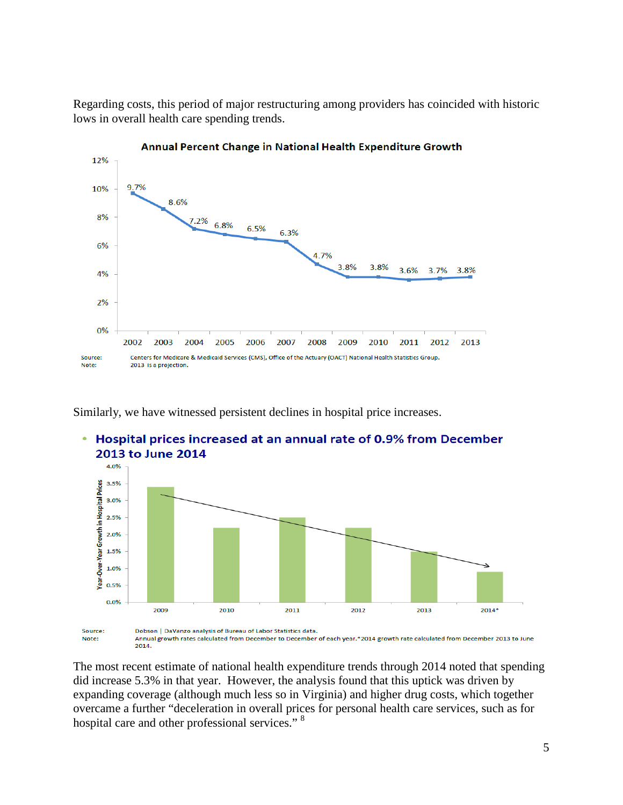Regarding costs, this period of major restructuring among providers has coincided with historic lows in overall health care spending trends.



Similarly, we have witnessed persistent declines in hospital price increases.



The most recent estimate of national health expenditure trends through 2014 noted that spending did increase 5.3% in that year. However, the analysis found that this uptick was driven by expanding coverage (although much less so in Virginia) and higher drug costs, which together overcame a further "deceleration in overall prices for personal health care services, such as for hospital care and other professional services."<sup>8</sup>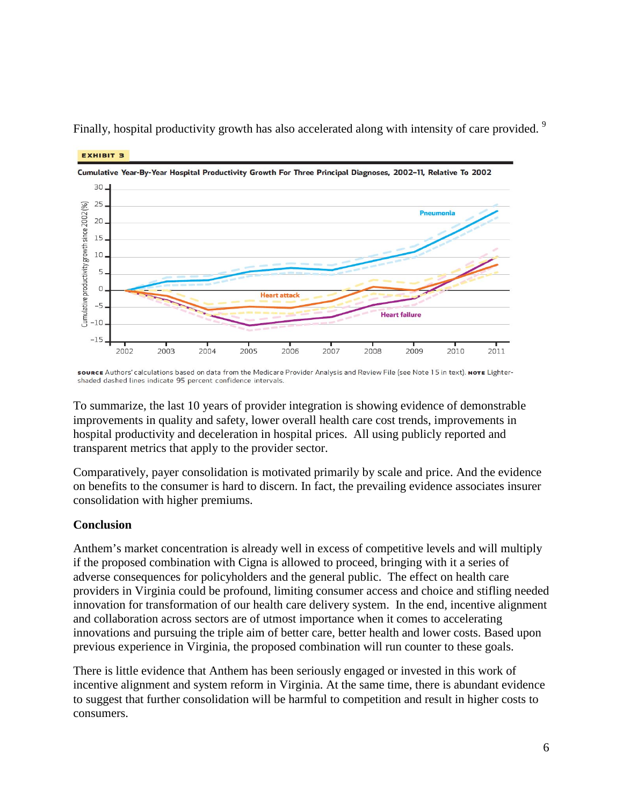

Finally, hospital productivity growth has also accelerated along with intensity of care provided. <sup>9</sup>

source Authors' calculations based on data from the Medicare Provider Analysis and Review File (see Note 15 in text). NOTE Lightershaded dashed lines indicate 95 percent confidence intervals.

To summarize, the last 10 years of provider integration is showing evidence of demonstrable improvements in quality and safety, lower overall health care cost trends, improvements in hospital productivity and deceleration in hospital prices. All using publicly reported and transparent metrics that apply to the provider sector.

Comparatively, payer consolidation is motivated primarily by scale and price. And the evidence on benefits to the consumer is hard to discern. In fact, the prevailing evidence associates insurer consolidation with higher premiums.

# **Conclusion**

**EXHIBIT 3** 

Anthem's market concentration is already well in excess of competitive levels and will multiply if the proposed combination with Cigna is allowed to proceed, bringing with it a series of adverse consequences for policyholders and the general public. The effect on health care providers in Virginia could be profound, limiting consumer access and choice and stifling needed innovation for transformation of our health care delivery system. In the end, incentive alignment and collaboration across sectors are of utmost importance when it comes to accelerating innovations and pursuing the triple aim of better care, better health and lower costs. Based upon previous experience in Virginia, the proposed combination will run counter to these goals.

There is little evidence that Anthem has been seriously engaged or invested in this work of incentive alignment and system reform in Virginia. At the same time, there is abundant evidence to suggest that further consolidation will be harmful to competition and result in higher costs to consumers.